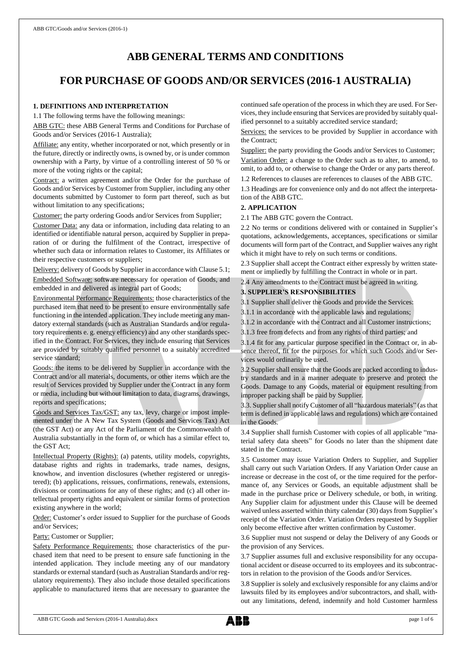# **ABB GENERAL TERMS AND CONDITIONS**

## **FOR PURCHASE OF GOODS AND/OR SERVICES (2016-1 AUSTRALIA)**

#### **1. DEFINITIONS AND INTERPRETATION**

1.1 The following terms have the following meanings:

ABB GTC: these ABB General Terms and Conditions for Purchase of Goods and/or Services (2016-1 Australia);

Affiliate: any entity, whether incorporated or not, which presently or in the future, directly or indirectly owns, is owned by, or is under common ownership with a Party, by virtue of a controlling interest of 50 % or more of the voting rights or the capital;

Contract: a written agreement and/or the Order for the purchase of Goods and/or Services by Customer from Supplier, including any other documents submitted by Customer to form part thereof, such as but without limitation to any specifications;

Customer: the party ordering Goods and/or Services from Supplier;

Customer Data: any data or information, including data relating to an identified or identifiable natural person, acquired by Supplier in preparation of or during the fulfilment of the Contract, irrespective of whether such data or information relates to Customer, its Affiliates or their respective customers or suppliers;

Delivery: delivery of Goods by Supplier in accordance with Clause 5.1; Embedded Software: software necessary for operation of Goods, and embedded in and delivered as integral part of Goods;

Environmental Performance Requirements: those characteristics of the purchased item that need to be present to ensure environmentally safe functioning in the intended application. They include meeting any mandatory external standards (such as Australian Standards and/or regulatory requirements e. g. energy efficiency) and any other standards specified in the Contract. For Services, they include ensuring that Services are provided by suitably qualified personnel to a suitably accredited service standard;

Goods: the items to be delivered by Supplier in accordance with the Contract and/or all materials, documents, or other items which are the result of Services provided by Supplier under the Contract in any form or media, including but without limitation to data, diagrams, drawings, reports and specifications;

Goods and Services Tax/GST: any tax, levy, charge or impost implemented under the A New Tax System (Goods and Services Tax) Act (the GST Act) or any Act of the Parliament of the Commonwealth of Australia substantially in the form of, or which has a similar effect to, the GST Act;

Intellectual Property (Rights): (a) patents, utility models, copyrights, database rights and rights in trademarks, trade names, designs, knowhow, and invention disclosures (whether registered or unregistered); (b) applications, reissues, confirmations, renewals, extensions, divisions or continuations for any of these rights; and (c) all other intellectual property rights and equivalent or similar forms of protection existing anywhere in the world;

Order: Customer's order issued to Supplier for the purchase of Goods and/or Services;

Party: Customer or Supplier;

Safety Performance Requirements: those characteristics of the purchased item that need to be present to ensure safe functioning in the intended application. They include meeting any of our mandatory standards or external standard (such as Australian Standards and/or regulatory requirements). They also include those detailed specifications applicable to manufactured items that are necessary to guarantee the continued safe operation of the process in which they are used. For Services, they include ensuring that Services are provided by suitably qualified personnel to a suitably accredited service standard;

Services: the services to be provided by Supplier in accordance with the Contract;

Supplier: the party providing the Goods and/or Services to Customer;

Variation Order: a change to the Order such as to alter, to amend, to omit, to add to, or otherwise to change the Order or any parts thereof.

1.2 References to clauses are references to clauses of the ABB GTC.

1.3 Headings are for convenience only and do not affect the interpretation of the ABB GTC.

## **2. APPLICATION**

2.1 The ABB GTC govern the Contract.

2.2 No terms or conditions delivered with or contained in Supplier's quotations, acknowledgements, acceptances, specifications or similar documents will form part of the Contract, and Supplier waives any right which it might have to rely on such terms or conditions.

2.3 Supplier shall accept the Contract either expressly by written statement or impliedly by fulfilling the Contract in whole or in part.

2.4 Any amendments to the Contract must be agreed in writing.

## **3. SUPPLIER'S RESPONSIBILITIES**

3.1 Supplier shall deliver the Goods and provide the Services:

3.1.1 in accordance with the applicable laws and regulations;

3.1.2 in accordance with the Contract and all Customer instructions;

3.1.3 free from defects and from any rights of third parties; and

3.1.4 fit for any particular purpose specified in the Contract or, in absence thereof, fit for the purposes for which such Goods and/or Services would ordinarily be used.

3.2 Supplier shall ensure that the Goods are packed according to industry standards and in a manner adequate to preserve and protect the Goods. Damage to any Goods, material or equipment resulting from improper packing shall be paid by Supplier.

3.3. Supplier shall notify Customer of all "hazardous materials" (as that term is defined in applicable laws and regulations) which are contained in the Goods.

3.4 Supplier shall furnish Customer with copies of all applicable "material safety data sheets" for Goods no later than the shipment date stated in the Contract.

3.5 Customer may issue Variation Orders to Supplier, and Supplier shall carry out such Variation Orders. If any Variation Order cause an increase or decrease in the cost of, or the time required for the performance of, any Services or Goods, an equitable adjustment shall be made in the purchase price or Delivery schedule, or both, in writing. Any Supplier claim for adjustment under this Clause will be deemed waived unless asserted within thirty calendar (30) days from Supplier's receipt of the Variation Order. Variation Orders requested by Supplier only become effective after written confirmation by Customer.

3.6 Supplier must not suspend or delay the Delivery of any Goods or the provision of any Services.

3.7 Supplier assumes full and exclusive responsibility for any occupational accident or disease occurred to its employees and its subcontractors in relation to the provision of the Goods and/or Services.

3.8 Supplier is solely and exclusively responsible for any claims and/or lawsuits filed by its employees and/or subcontractors, and shall, without any limitations, defend, indemnify and hold Customer harmless

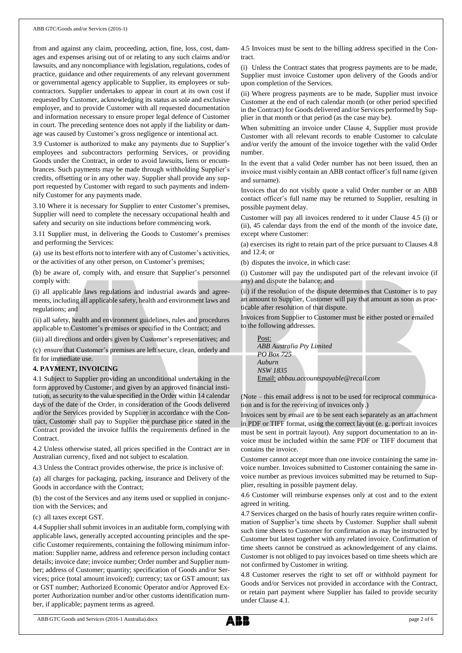from and against any claim, proceeding, action, fine, loss, cost, damages and expenses arising out of or relating to any such claims and/or lawsuits, and any noncompliance with legislation, regulations, codes of practice, guidance and other requirements of any relevant government or governmental agency applicable to Supplier, its employees or subcontractors. Supplier undertakes to appear in court at its own cost if requested by Customer, acknowledging its status as sole and exclusive employer, and to provide Customer with all requested documentation and information necessary to ensure proper legal defence of Customer in court. The preceding sentence does not apply if the liability or damage was caused by Customer's gross negligence or intentional act.

3.9 Customer is authorized to make any payments due to Supplier's employees and subcontractors performing Services, or providing Goods under the Contract, in order to avoid lawsuits, liens or encumbrances. Such payments may be made through withholding Supplier's credits, offsetting or in any other way. Supplier shall provide any support requested by Customer with regard to such payments and indemnify Customer for any payments made.

3.10 Where it is necessary for Supplier to enter Customer's premises, Supplier will need to complete the necessary occupational health and safety and security on site inductions before commencing work.

3.11 Supplier must, in delivering the Goods to Customer's premises and performing the Services:

(a) use its best efforts not to interfere with any of Customer's activities, or the activities of any other person, on Customer's premises;

(b) be aware of, comply with, and ensure that Supplier's personnel comply with:

(i) all applicable laws regulations and industrial awards and agreements, including all applicable safety, health and environment laws and regulations; and

(ii) all safety, health and environment guidelines, rules and procedures applicable to Customer's premises or specified in the Contract; and

(iii) all directions and orders given by Customer's representatives; and

(c) ensure that Customer's premises are left secure, clean, orderly and fit for immediate use.

#### **4. PAYMENT, INVOICING**

4.1 Subject to Supplier providing an unconditional undertaking in the form approved by Customer, and given by an approved financial institution, as security to the value specified in the Order within 14 calendar days of the date of the Order, in consideration of the Goods delivered and/or the Services provided by Supplier in accordance with the Contract, Customer shall pay to Supplier the purchase price stated in the Contract provided the invoice fulfils the requirements defined in the Contract.

4.2 Unless otherwise stated, all prices specified in the Contract are in Australian currency, fixed and not subject to escalation.

4.3 Unless the Contract provides otherwise, the price is inclusive of:

(a) all charges for packaging, packing, insurance and Delivery of the Goods in accordance with the Contract;

(b) the cost of the Services and any items used or supplied in conjunction with the Services; and

(c) all taxes except GST.

4.4 Supplier shall submit invoices in an auditable form, complying with applicable laws, generally accepted accounting principles and the specific Customer requirements, containing the following minimum information: Supplier name, address and reference person including contact details; invoice date; invoice number; Order number and Supplier number; address of Customer; quantity; specification of Goods and/or Services; price (total amount invoiced); currency; tax or GST amount; tax or GST number; Authorized Economic Operator and/or Approved Exporter Authorization number and/or other customs identification number, if applicable; payment terms as agreed.

4.5 Invoices must be sent to the billing address specified in the Contract.

(i) Unless the Contract states that progress payments are to be made, Supplier must invoice Customer upon delivery of the Goods and/or upon completion of the Services.

(ii) Where progress payments are to be made, Supplier must invoice Customer at the end of each calendar month (or other period specified in the Contract) for Goods delivered and/or Services performed by Supplier in that month or that period (as the case may be).

When submitting an invoice under Clause 4, Supplier must provide Customer with all relevant records to enable Customer to calculate and/or verify the amount of the invoice together with the valid Order number.

In the event that a valid Order number has not been issued, then an invoice must visibly contain an ABB contact officer's full name (given and surname).

Invoices that do not visibly quote a valid Order number or an ABB contact officer's full name may be returned to Supplier, resulting in possible payment delay.

Customer will pay all invoices rendered to it under Clause 4.5 (i) or (ii), 45 calendar days from the end of the month of the invoice date, except where Customer:

(a) exercises its right to retain part of the price pursuant to Clauses 4.8 and 12.4; or

(b) disputes the invoice, in which case:

(i) Customer will pay the undisputed part of the relevant invoice (if any) and dispute the balance; and

(ii) if the resolution of the dispute determines that Customer is to pay an amount to Supplier, Customer will pay that amount as soon as practicable after resolution of that dispute.

Invoices from Supplier to Customer must be either posted or emailed to the following addresses.

Post: *ABB Australia Pty Limited PO Box 725 Auburn NSW 1835* Email: *[abbau.accountspayable@recall.com](mailto:abbau.accountspayable@recall.com)*

(Note – this email address is not to be used for reciprocal communication and is for the receiving of invoices only.)

Invoices sent by email are to be sent each separately as an attachment in PDF or TIFF format, using the correct layout (e. g. portrait invoices must be sent in portrait layout). Any support documentation to an invoice must be included within the same PDF or TIFF document that contains the invoice.

Customer cannot accept more than one invoice containing the same invoice number. Invoices submitted to Customer containing the same invoice number as previous invoices submitted may be returned to Supplier, resulting in possible payment delay.

4.6 Customer will reimburse expenses only at cost and to the extent agreed in writing.

4.7 Services charged on the basis of hourly rates require written confirmation of Supplier's time sheets by Customer. Supplier shall submit such time sheets to Customer for confirmation as may be instructed by Customer but latest together with any related invoice. Confirmation of time sheets cannot be construed as acknowledgement of any claims. Customer is not obliged to pay invoices based on time sheets which are not confirmed by Customer in writing.

4.8 Customer reserves the right to set off or withhold payment for Goods and/or Services not provided in accordance with the Contract, or retain part payment where Supplier has failed to provide security under Clause 4.1.

ABB GTC Goods and Services (2016-1 Australia).docx page 2 of 6

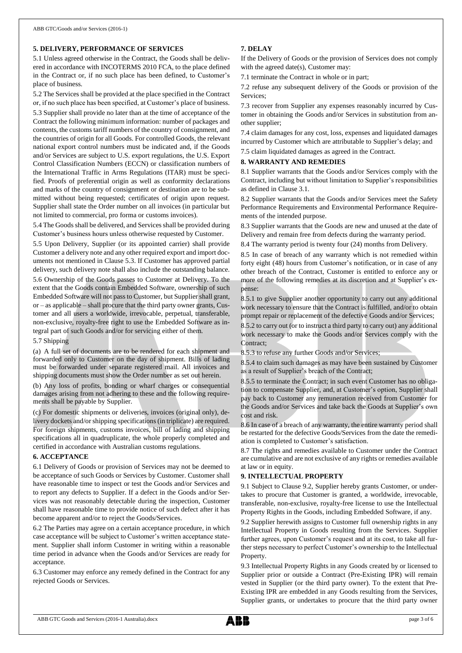#### **5. DELIVERY, PERFORMANCE OF SERVICES**

5.1 Unless agreed otherwise in the Contract, the Goods shall be delivered in accordance with INCOTERMS 2010 FCA, to the place defined in the Contract or, if no such place has been defined, to Customer's place of business.

5.2 The Services shall be provided at the place specified in the Contract or, if no such place has been specified, at Customer's place of business. 5.3 Supplier shall provide no later than at the time of acceptance of the Contract the following minimum information: number of packages and contents, the customs tariff numbers of the country of consignment, and the countries of origin for all Goods. For controlled Goods, the relevant national export control numbers must be indicated and, if the Goods and/or Services are subject to U.S. export regulations, the U.S. Export Control Classification Numbers (ECCN) or classification numbers of the International Traffic in Arms Regulations (ITAR) must be specified. Proofs of preferential origin as well as conformity declarations and marks of the country of consignment or destination are to be submitted without being requested; certificates of origin upon request. Supplier shall state the Order number on all invoices (in particular but not limited to commercial, pro forma or customs invoices).

5.4 The Goods shall be delivered, and Services shall be provided during Customer's business hours unless otherwise requested by Customer.

5.5 Upon Delivery, Supplier (or its appointed carrier) shall provide Customer a delivery note and any other required export and import documents not mentioned in Clause 5.3. If Customer has approved partial delivery, such delivery note shall also include the outstanding balance.

5.6 Ownership of the Goods passes to Customer at Delivery. To the extent that the Goods contain Embedded Software, ownership of such Embedded Software will not passto Customer, but Supplier shall grant, or – as applicable – shall procure that the third party owner grants, Customer and all users a worldwide, irrevocable, perpetual, transferable, non-exclusive, royalty-free right to use the Embedded Software as integral part of such Goods and/or for servicing either of them.

5.7 Shipping

(a) A full set of documents are to be rendered for each shipment and forwarded only to Customer on the day of shipment. Bills of lading must be forwarded under separate registered mail. All invoices and shipping documents must show the Order number as set out herein.

(b) Any loss of profits, bonding or wharf charges or consequential damages arising from not adhering to these and the following requirements shall be payable by Supplier.

(c) For domestic shipments or deliveries, invoices (original only), delivery dockets and/or shipping specifications (in triplicate) are required. For foreign shipments, customs invoices, bill of lading and shipping specifications all in quadruplicate, the whole properly completed and certified in accordance with Australian customs regulations.

#### **6. ACCEPTANCE**

6.1 Delivery of Goods or provision of Services may not be deemed to be acceptance of such Goods or Services by Customer. Customer shall have reasonable time to inspect or test the Goods and/or Services and to report any defects to Supplier. If a defect in the Goods and/or Services was not reasonably detectable during the inspection, Customer shall have reasonable time to provide notice of such defect after it has become apparent and/or to reject the Goods/Services.

6.2 The Parties may agree on a certain acceptance procedure, in which case acceptance will be subject to Customer's written acceptance statement. Supplier shall inform Customer in writing within a reasonable time period in advance when the Goods and/or Services are ready for acceptance.

6.3 Customer may enforce any remedy defined in the Contract for any rejected Goods or Services.

#### **7. DELAY**

If the Delivery of Goods or the provision of Services does not comply with the agreed date(s), Customer may:

7.1 terminate the Contract in whole or in part;

7.2 refuse any subsequent delivery of the Goods or provision of the Services;

7.3 recover from Supplier any expenses reasonably incurred by Customer in obtaining the Goods and/or Services in substitution from another supplier;

7.4 claim damages for any cost, loss, expenses and liquidated damages incurred by Customer which are attributable to Supplier's delay; and

7.5 claim liquidated damages as agreed in the Contract.

#### **8. WARRANTY AND REMEDIES**

8.1 Supplier warrants that the Goods and/or Services comply with the Contract, including but without limitation to Supplier's responsibilities as defined in Clause 3.1.

8.2 Supplier warrants that the Goods and/or Services meet the Safety Performance Requirements and Environmental Performance Requirements of the intended purpose.

8.3 Supplier warrants that the Goods are new and unused at the date of Delivery and remain free from defects during the warranty period.

8.4 The warranty period is twenty four (24) months from Delivery.

8.5 In case of breach of any warranty which is not remedied within forty eight (48) hours from Customer's notification, or in case of any other breach of the Contract, Customer is entitled to enforce any or more of the following remedies at its discretion and at Supplier's expense:

8.5.1 to give Supplier another opportunity to carry out any additional work necessary to ensure that the Contract is fulfilled, and/or to obtain prompt repair or replacement of the defective Goods and/or Services;

8.5.2 to carry out (or to instruct a third party to carry out) any additional work necessary to make the Goods and/or Services comply with the Contract;

8.5.3 to refuse any further Goods and/or Services;

8.5.4 to claim such damages as may have been sustained by Customer as a result of Supplier's breach of the Contract;

8.5.5 to terminate the Contract; in such event Customer has no obligation to compensate Supplier, and, at Customer's option, Supplier shall pay back to Customer any remuneration received from Customer for the Goods and/or Services and take back the Goods at Supplier's own cost and risk.

8.6 In case of a breach of any warranty, the entire warranty period shall be restarted for the defective Goods/Services from the date the remediation is completed to Customer's satisfaction.

8.7 The rights and remedies available to Customer under the Contract are cumulative and are not exclusive of any rights or remedies available at law or in equity.

### **9. INTELLECTUAL PROPERTY**

9.1 Subject to Clause 9.2, Supplier hereby grants Customer, or undertakes to procure that Customer is granted, a worldwide, irrevocable, transferable, non-exclusive, royalty-free license to use the Intellectual Property Rights in the Goods, including Embedded Software, if any.

9.2 Supplier herewith assigns to Customer full ownership rights in any Intellectual Property in Goods resulting from the Services. Supplier further agrees, upon Customer's request and at its cost, to take all further steps necessary to perfect Customer's ownership to the Intellectual Property.

9.3 Intellectual Property Rights in any Goods created by or licensed to Supplier prior or outside a Contract (Pre-Existing IPR) will remain vested in Supplier (or the third party owner). To the extent that Pre-Existing IPR are embedded in any Goods resulting from the Services, Supplier grants, or undertakes to procure that the third party owner

ABB GTC Goods and Services (2016-1 Australia).docx page 3 of 6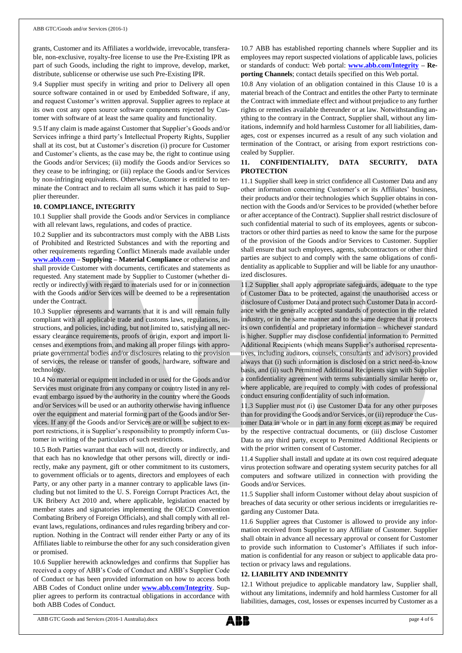grants, Customer and its Affiliates a worldwide, irrevocable, transferable, non-exclusive, royalty-free license to use the Pre-Existing IPR as part of such Goods, including the right to improve, develop, market, distribute, sublicense or otherwise use such Pre-Existing IPR.

9.4 Supplier must specify in writing and prior to Delivery all open source software contained in or used by Embedded Software, if any, and request Customer's written approval. Supplier agrees to replace at its own cost any open source software components rejected by Customer with software of at least the same quality and functionality.

9.5 If any claim is made against Customer that Supplier's Goods and/or Services infringe a third party's Intellectual Property Rights, Supplier shall at its cost, but at Customer's discretion (i) procure for Customer and Customer's clients, as the case may be, the right to continue using the Goods and/or Services; (ii) modify the Goods and/or Services so they cease to be infringing; or (iii) replace the Goods and/or Services by non-infringing equivalents. Otherwise, Customer is entitled to terminate the Contract and to reclaim all sums which it has paid to Supplier thereunder.

#### **10. COMPLIANCE, INTEGRITY**

10.1 Supplier shall provide the Goods and/or Services in compliance with all relevant laws, regulations, and codes of practice.

10.2 Supplier and its subcontractors must comply with the ABB Lists of Prohibited and Restricted Substances and with the reporting and other requirements regarding Conflict Minerals made available under **[www.abb.com](http://www.abb.com/) – Supplying – Material Compliance** or otherwise and shall provide Customer with documents, certificates and statements as requested. Any statement made by Supplier to Customer (whether directly or indirectly) with regard to materials used for or in connection with the Goods and/or Services will be deemed to be a representation under the Contract.

10.3 Supplier represents and warrants that it is and will remain fully compliant with all applicable trade and customs laws, regulations, instructions, and policies, including, but not limited to, satisfying all necessary clearance requirements, proofs of origin, export and import licenses and exemptions from, and making all proper filings with appropriate governmental bodies and/or disclosures relating to the provision of services, the release or transfer of goods, hardware, software and technology.

10.4 No material or equipment included in or used for the Goods and/or Services must originate from any company or country listed in any relevant embargo issued by the authority in the country where the Goods and/or Services will be used or an authority otherwise having influence over the equipment and material forming part of the Goods and/or Services. If any of the Goods and/or Services are or will be subject to export restrictions, it is Supplier's responsibility to promptly inform Customer in writing of the particulars of such restrictions.

10.5 Both Parties warrant that each will not, directly or indirectly, and that each has no knowledge that other persons will, directly or indirectly, make any payment, gift or other commitment to its customers, to government officials or to agents, directors and employees of each Party, or any other party in a manner contrary to applicable laws (including but not limited to the U. S. Foreign Corrupt Practices Act, the UK Bribery Act 2010 and, where applicable, legislation enacted by member states and signatories implementing the OECD Convention Combating Bribery of Foreign Officials), and shall comply with all relevant laws, regulations, ordinances and rules regarding bribery and corruption. Nothing in the Contract will render either Party or any of its Affiliates liable to reimburse the other for any such consideration given or promised.

10.6 Supplier herewith acknowledges and confirms that Supplier has received a copy of ABB's Code of Conduct and ABB's Supplier Code of Conduct or has been provided information on how to access both ABB Codes of Conduct online under **[www.abb.com/Integrity](http://www.abb.com/Integrity)**. Supplier agrees to perform its contractual obligations in accordance with both ABB Codes of Conduct.

10.7 ABB has established reporting channels where Supplier and its employees may report suspected violations of applicable laws, policies or standards of conduct: Web portal: **[www.abb.com/Integrity](http://www.abb.com/Integrity) – Reporting Channels**; contact details specified on this Web portal.

10.8 Any violation of an obligation contained in this Clause 10 is a material breach of the Contract and entitles the other Party to terminate the Contract with immediate effect and without prejudice to any further rights or remedies available thereunder or at law. Notwithstanding anything to the contrary in the Contract, Supplier shall, without any limitations, indemnify and hold harmless Customer for all liabilities, damages, cost or expenses incurred as a result of any such violation and termination of the Contract, or arising from export restrictions concealed by Supplier.

## **11. CONFIDENTIALITY, DATA SECURITY, DATA PROTECTION**

11.1 Supplier shall keep in strict confidence all Customer Data and any other information concerning Customer's or its Affiliates' business, their products and/or their technologies which Supplier obtains in connection with the Goods and/or Services to be provided (whether before or after acceptance of the Contract). Supplier shall restrict disclosure of such confidential material to such of its employees, agents or subcontractors or other third parties as need to know the same for the purpose of the provision of the Goods and/or Services to Customer. Supplier shall ensure that such employees, agents, subcontractors or other third parties are subject to and comply with the same obligations of confidentiality as applicable to Supplier and will be liable for any unauthorized disclosures.

11.2 Supplier shall apply appropriate safeguards, adequate to the type of Customer Data to be protected, against the unauthorised access or disclosure of Customer Data and protect such Customer Data in accordance with the generally accepted standards of protection in the related industry, or in the same manner and to the same degree that it protects its own confidential and proprietary information – whichever standard is higher. Supplier may disclose confidential information to Permitted Additional Recipients (which means Supplier's authorised representatives, including auditors, counsels, consultants and advisors) provided always that (i) such information is disclosed on a strict need-to-know basis, and (ii) such Permitted Additional Recipients sign with Supplier a confidentiality agreement with terms substantially similar hereto or, where applicable, are required to comply with codes of professional conduct ensuring confidentiality of such information.

11.3 Supplier must not (i) use Customer Data for any other purposes than for providing the Goods and/or Services, or (ii) reproduce the Customer Data in whole or in part in any form except as may be required by the respective contractual documents, or (iii) disclose Customer Data to any third party, except to Permitted Additional Recipients or with the prior written consent of Customer.

11.4 Supplier shall install and update at its own cost required adequate virus protection software and operating system security patches for all computers and software utilized in connection with providing the Goods and/or Services.

11.5 Supplier shall inform Customer without delay about suspicion of breaches of data security or other serious incidents or irregularities regarding any Customer Data.

11.6 Supplier agrees that Customer is allowed to provide any information received from Supplier to any Affiliate of Customer. Supplier shall obtain in advance all necessary approval or consent for Customer to provide such information to Customer's Affiliates if such information is confidential for any reason or subject to applicable data protection or privacy laws and regulations.

## **12. LIABILITY AND INDEMNITY**

12.1 Without prejudice to applicable mandatory law, Supplier shall, without any limitations, indemnify and hold harmless Customer for all liabilities, damages, cost, losses or expenses incurred by Customer as a

ABB GTC Goods and Services (2016-1 Australia).docx page 4 of 6

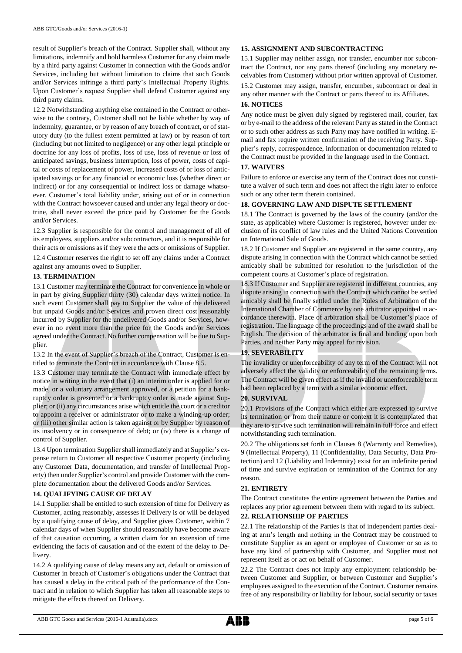result of Supplier's breach of the Contract. Supplier shall, without any limitations, indemnify and hold harmless Customer for any claim made by a third party against Customer in connection with the Goods and/or Services, including but without limitation to claims that such Goods and/or Services infringe a third party's Intellectual Property Rights. Upon Customer's request Supplier shall defend Customer against any third party claims.

12.2 Notwithstanding anything else contained in the Contract or otherwise to the contrary, Customer shall not be liable whether by way of indemnity, guarantee, or by reason of any breach of contract, or of statutory duty (to the fullest extent permitted at law) or by reason of tort (including but not limited to negligence) or any other legal principle or doctrine for any loss of profits, loss of use, loss of revenue or loss of anticipated savings, business interruption, loss of power, costs of capital or costs of replacement of power, increased costs of or loss of anticipated savings or for any financial or economic loss (whether direct or indirect) or for any consequential or indirect loss or damage whatsoever. Customer's total liability under, arising out of or in connection with the Contract howsoever caused and under any legal theory or doctrine, shall never exceed the price paid by Customer for the Goods and/or Services.

12.3 Supplier is responsible for the control and management of all of its employees, suppliers and/or subcontractors, and it is responsible for their acts or omissions as if they were the acts or omissions of Supplier.

12.4 Customer reserves the right to set off any claims under a Contract against any amounts owed to Supplier.

#### **13. TERMINATION**

13.1 Customer may terminate the Contract for convenience in whole or in part by giving Supplier thirty (30) calendar days written notice. In such event Customer shall pay to Supplier the value of the delivered but unpaid Goods and/or Services and proven direct cost reasonably incurred by Supplier for the undelivered Goods and/or Services, however in no event more than the price for the Goods and/or Services agreed under the Contract. No further compensation will be due to Supplier.

13.2 In the event of Supplier's breach of the Contract, Customer is entitled to terminate the Contract in accordance with Clause 8.5.

13.3 Customer may terminate the Contract with immediate effect by notice in writing in the event that (i) an interim order is applied for or made, or a voluntary arrangement approved, or a petition for a bankruptcy order is presented or a bankruptcy order is made against Supplier; or (ii) any circumstances arise which entitle the court or a creditor to appoint a receiver or administrator or to make a winding-up order; or (iii) other similar action is taken against or by Supplier by reason of its insolvency or in consequence of debt; or (iv) there is a change of control of Supplier.

13.4 Upon termination Supplier shall immediately and at Supplier's expense return to Customer all respective Customer property (including any Customer Data, documentation, and transfer of Intellectual Property) then under Supplier's control and provide Customer with the complete documentation about the delivered Goods and/or Services.

#### **14. QUALIFYING CAUSE OF DELAY**

14.1 Supplier shall be entitled to such extension of time for Delivery as Customer, acting reasonably, assesses if Delivery is or will be delayed by a qualifying cause of delay, and Supplier gives Customer, within 7 calendar days of when Supplier should reasonably have become aware of that causation occurring, a written claim for an extension of time evidencing the facts of causation and of the extent of the delay to Delivery.

14.2 A qualifying cause of delay means any act, default or omission of Customer in breach of Customer's obligations under the Contract that has caused a delay in the critical path of the performance of the Contract and in relation to which Supplier has taken all reasonable steps to mitigate the effects thereof on Delivery.

#### **15. ASSIGNMENT AND SUBCONTRACTING**

15.1 Supplier may neither assign, nor transfer, encumber nor subcontract the Contract, nor any parts thereof (including any monetary receivables from Customer) without prior written approval of Customer. 15.2 Customer may assign, transfer, encumber, subcontract or deal in any other manner with the Contract or parts thereof to its Affiliates.

#### **16. NOTICES**

Any notice must be given duly signed by registered mail, courier, fax or by e-mail to the address of the relevant Party as stated in the Contract or to such other address as such Party may have notified in writing. Email and fax require written confirmation of the receiving Party. Supplier's reply, correspondence, information or documentation related to the Contract must be provided in the language used in the Contract.

#### **17. WAIVERS**

Failure to enforce or exercise any term of the Contract does not constitute a waiver of such term and does not affect the right later to enforce such or any other term therein contained.

#### **18. GOVERNING LAW AND DISPUTE SETTLEMENT**

18.1 The Contract is governed by the laws of the country (and/or the state, as applicable) where Customer is registered, however under exclusion of its conflict of law rules and the United Nations Convention on International Sale of Goods.

18.2 If Customer and Supplier are registered in the same country, any dispute arising in connection with the Contract which cannot be settled amicably shall be submitted for resolution to the jurisdiction of the competent courts at Customer's place of registration.

18.3 If Customer and Supplier are registered in different countries, any dispute arising in connection with the Contract which cannot be settled amicably shall be finally settled under the Rules of Arbitration of the International Chamber of Commerce by one arbitrator appointed in accordance therewith. Place of arbitration shall be Customer's place of registration. The language of the proceedings and of the award shall be English. The decision of the arbitrator is final and binding upon both Parties, and neither Party may appeal for revision.

#### **19. SEVERABILITY**

The invalidity or unenforceability of any term of the Contract will not adversely affect the validity or enforceability of the remaining terms. The Contract will be given effect as if the invalid or unenforceable term had been replaced by a term with a similar economic effect.

#### **20. SURVIVAL**

20.1 Provisions of the Contract which either are expressed to survive its termination or from their nature or context it is contemplated that they are to survive such termination will remain in full force and effect notwithstanding such termination.

20.2 The obligations set forth in Clauses 8 (Warranty and Remedies), 9 (Intellectual Property), 11 (Confidentiality, Data Security, Data Protection) and 12 (Liability and Indemnity) exist for an indefinite period of time and survive expiration or termination of the Contract for any reason.

#### **21. ENTIRETY**

The Contract constitutes the entire agreement between the Parties and replaces any prior agreement between them with regard to its subject.

### **22. RELATIONSHIP OF PARTIES**

22.1 The relationship of the Parties is that of independent parties dealing at arm's length and nothing in the Contract may be construed to constitute Supplier as an agent or employee of Customer or so as to have any kind of partnership with Customer, and Supplier must not represent itself as or act on behalf of Customer.

22.2 The Contract does not imply any employment relationship between Customer and Supplier, or between Customer and Supplier's employees assigned to the execution of the Contract. Customer remains free of any responsibility or liability for labour, social security or taxes

ABB GTC Goods and Services (2016-1 Australia).docx page 5 of 6